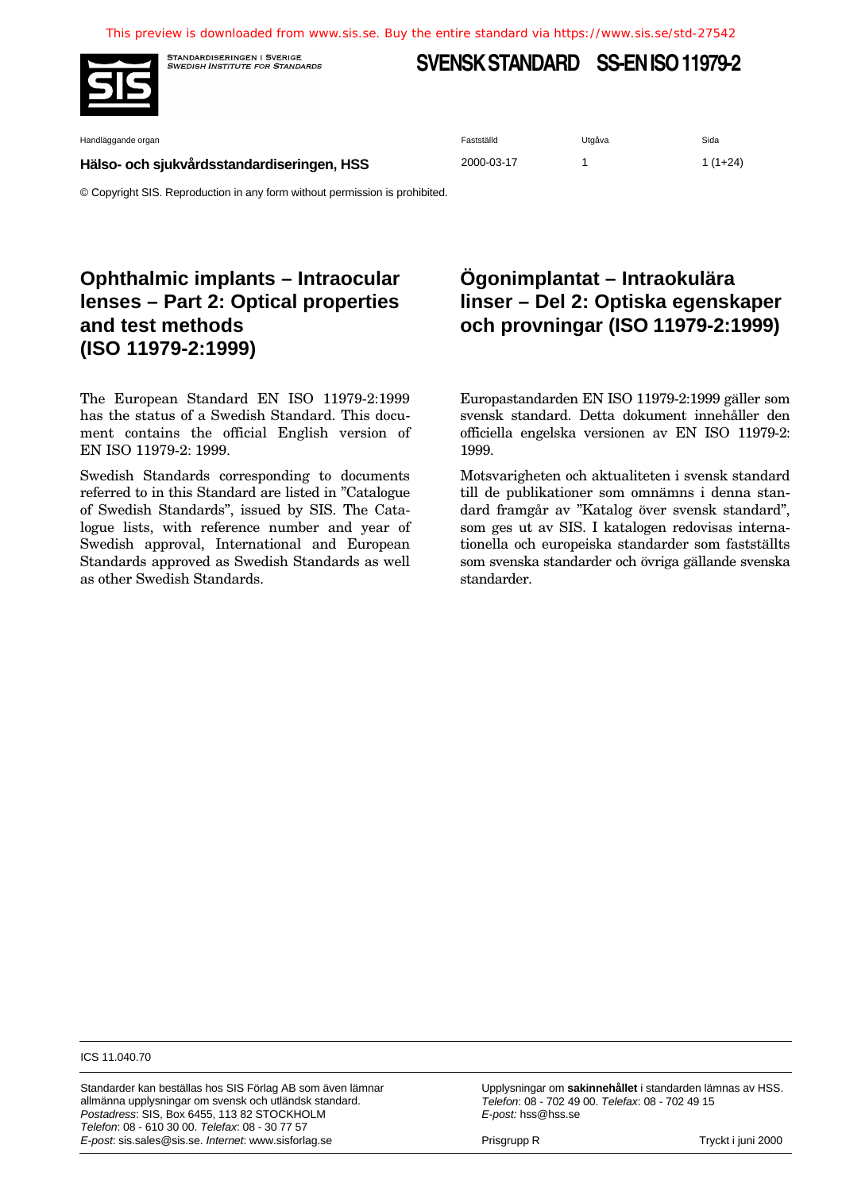

STANDARDISERINGEN I SVERIGE **SWEDISH INSTITUTE FOR STANDARDS** 

# **SVENSK STANDARD SS-EN ISO 11979-2**

Handläggande organ Fastställd Utgåva Sida

**Hälso- och sjukvårdsstandardiseringen, HSS** 2000-03-17 1 1 (1+24)

© Copyright SIS. Reproduction in any form without permission is prohibited.

## **Ophthalmic implants – Intraocular lenses – Part 2: Optical properties and test methods (ISO 11979-2:1999)**

The European Standard EN ISO 11979-2:1999 has the status of a Swedish Standard. This document contains the official English version of EN ISO 11979-2: 1999.

Swedish Standards corresponding to documents referred to in this Standard are listed in "Catalogue of Swedish Standards", issued by SIS. The Catalogue lists, with reference number and year of Swedish approval, International and European Standards approved as Swedish Standards as well as other Swedish Standards.

## **Ögonimplantat – Intraokulära linser – Del 2: Optiska egenskaper och provningar (ISO 11979-2:1999)**

Europastandarden EN ISO 11979-2:1999 gäller som svensk standard. Detta dokument innehåller den officiella engelska versionen av EN ISO 11979-2: 1999.

Motsvarigheten och aktualiteten i svensk standard till de publikationer som omnämns i denna standard framgår av "Katalog över svensk standard", som ges ut av SIS. I katalogen redovisas internationella och europeiska standarder som fastställts som svenska standarder och övriga gällande svenska standarder.

#### ICS 11.040.70

Standarder kan beställas hos SIS Förlag AB som även lämnar allmänna upplysningar om svensk och utländsk standard. Postadress: SIS, Box 6455, 113 82 STOCKHOLM Telefon: 08 - 610 30 00. Telefax: 08 - 30 77 57 E-post: sis.sales@sis.se. Internet: www.sisforlag.se

Upplysningar om **sakinnehållet** i standarden lämnas av HSS. Telefon: 08 - 702 49 00. Telefax: 08 - 702 49 15 E-post: hss@hss.se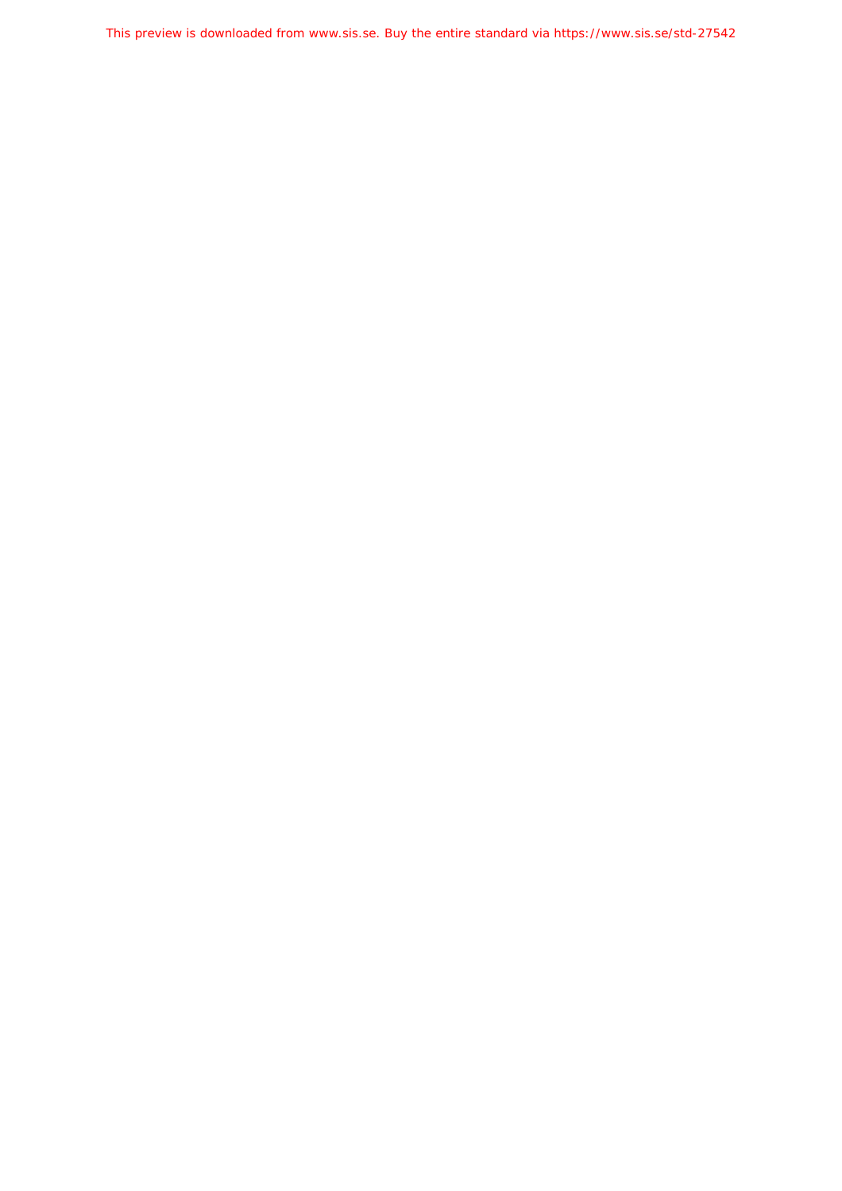This preview is downloaded from www.sis.se. Buy the entire standard via https://www.sis.se/std-27542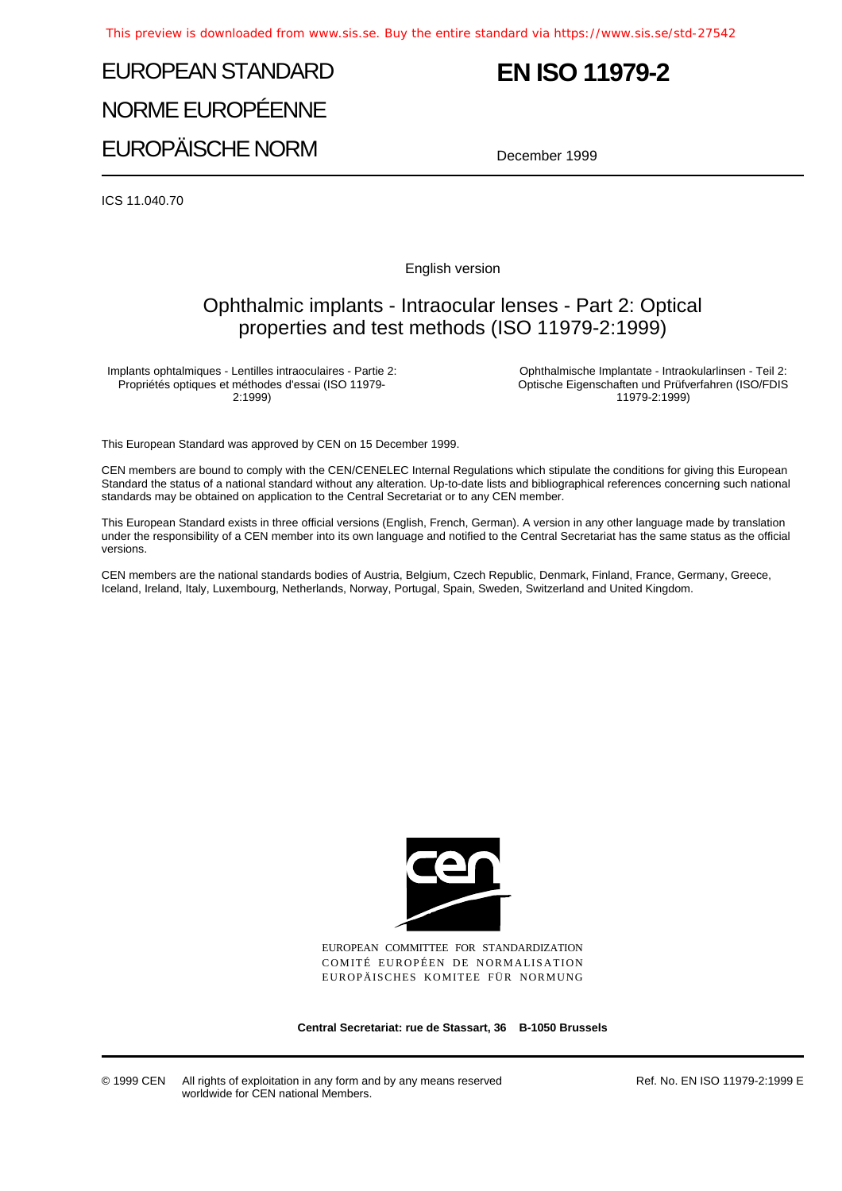# EUROPEAN STANDARD NORME EUROPÉENNE EUROPÄISCHE NORM

# **EN ISO 11979-2**

December 1999

ICS 11.040.70

English version

## Ophthalmic implants - Intraocular lenses - Part 2: Optical properties and test methods (ISO 11979-2:1999)

Implants ophtalmiques - Lentilles intraoculaires - Partie 2: Propriétés optiques et méthodes d'essai (ISO 11979- 2:1999)

Ophthalmische Implantate - Intraokularlinsen - Teil 2: Optische Eigenschaften und Prüfverfahren (ISO/FDIS 11979-2:1999)

This European Standard was approved by CEN on 15 December 1999.

CEN members are bound to comply with the CEN/CENELEC Internal Regulations which stipulate the conditions for giving this European Standard the status of a national standard without any alteration. Up-to-date lists and bibliographical references concerning such national standards may be obtained on application to the Central Secretariat or to any CEN member.

This European Standard exists in three official versions (English, French, German). A version in any other language made by translation under the responsibility of a CEN member into its own language and notified to the Central Secretariat has the same status as the official versions.

CEN members are the national standards bodies of Austria, Belgium, Czech Republic, Denmark, Finland, France, Germany, Greece, Iceland, Ireland, Italy, Luxembourg, Netherlands, Norway, Portugal, Spain, Sweden, Switzerland and United Kingdom.



EUROPEAN COMMITTEE FOR STANDARDIZATION COMITÉ EUROPÉEN DE NORMALISATION EUROPÄISCHES KOMITEE FÜR NORMUNG

**Central Secretariat: rue de Stassart, 36 B-1050 Brussels**

© 1999 CEN All rights of exploitation in any form and by any means reserved worldwide for CEN national Members.

Ref. No. EN ISO 11979-2:1999 E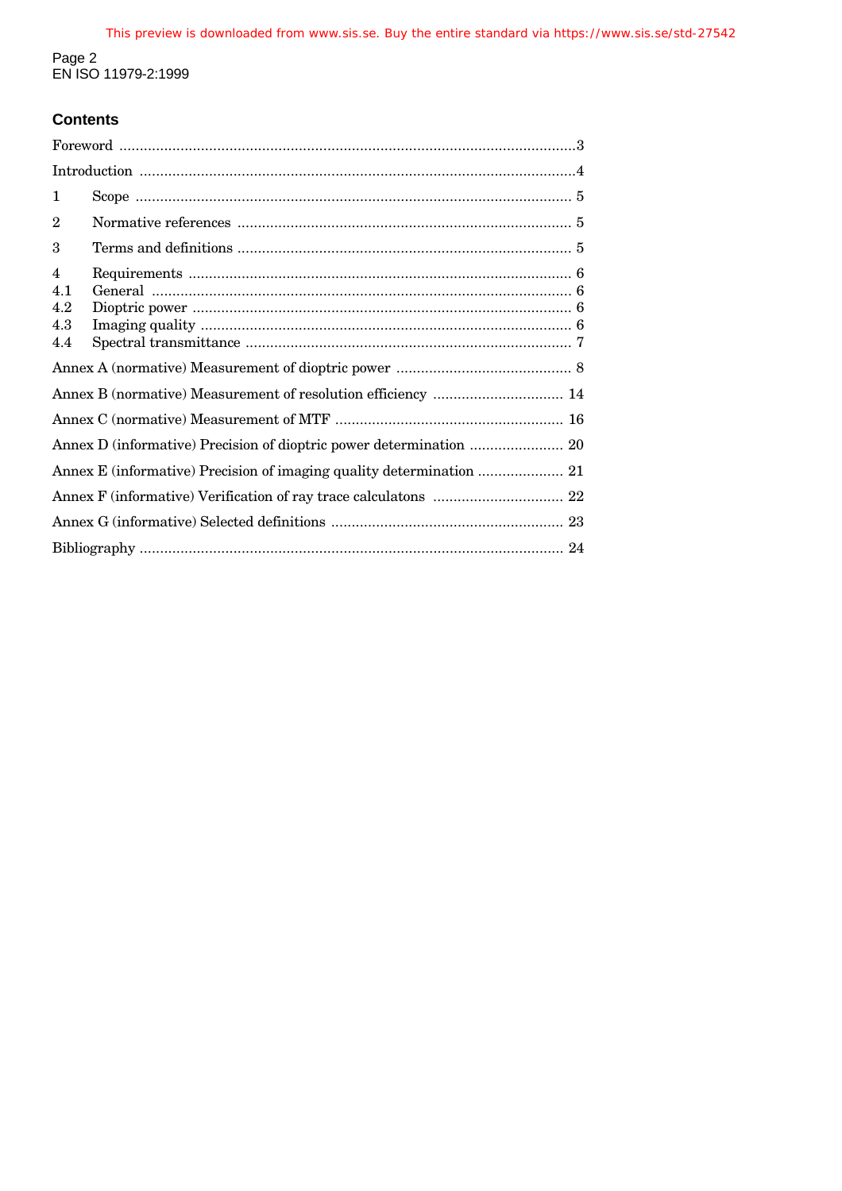### **Contents**

| 1                                                            |  |  |  |
|--------------------------------------------------------------|--|--|--|
| $\overline{2}$                                               |  |  |  |
| 3                                                            |  |  |  |
| 4                                                            |  |  |  |
| 4.1                                                          |  |  |  |
| 4.2                                                          |  |  |  |
| 4.3                                                          |  |  |  |
| 4.4                                                          |  |  |  |
|                                                              |  |  |  |
| Annex B (normative) Measurement of resolution efficiency  14 |  |  |  |
|                                                              |  |  |  |
|                                                              |  |  |  |
|                                                              |  |  |  |
|                                                              |  |  |  |
|                                                              |  |  |  |
|                                                              |  |  |  |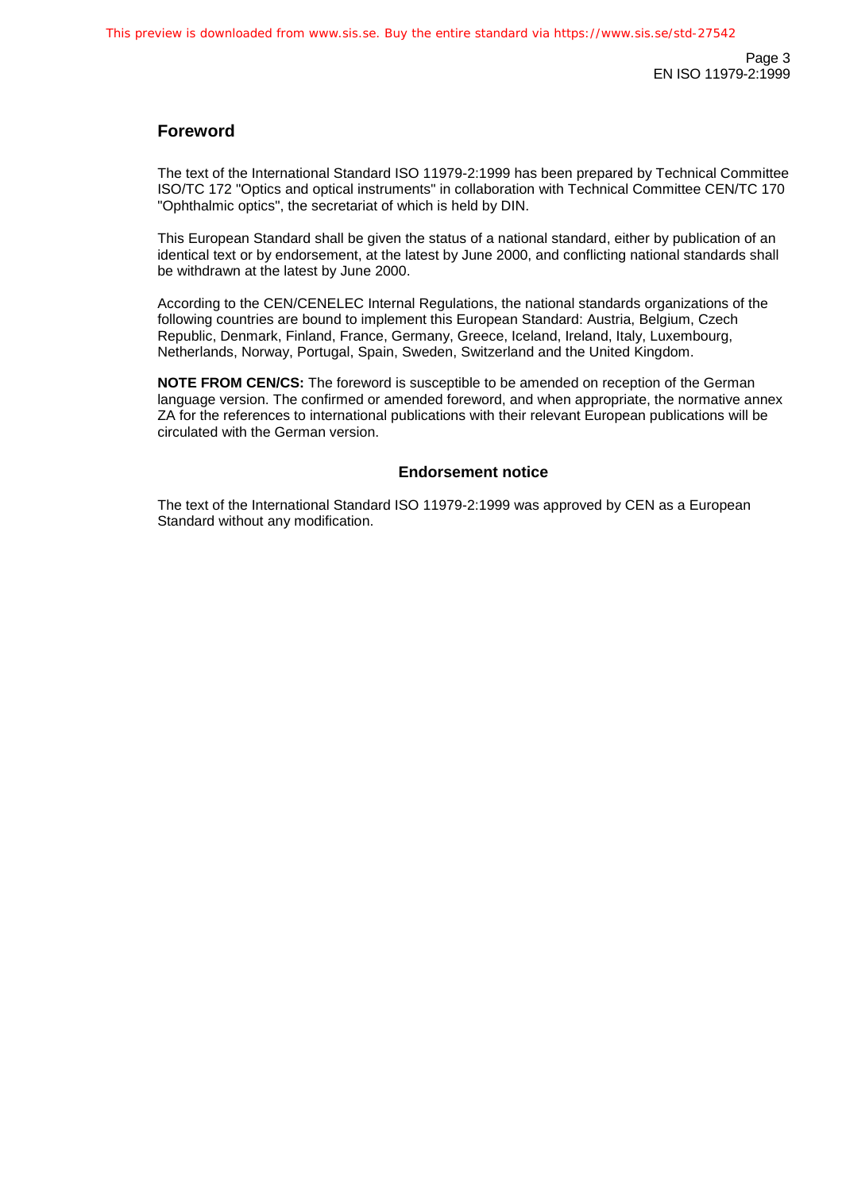Page 3 EN ISO 11979-2:1999

#### **Foreword**

The text of the International Standard ISO 11979-2:1999 has been prepared by Technical Committee ISO/TC 172 "Optics and optical instruments" in collaboration with Technical Committee CEN/TC 170 "Ophthalmic optics", the secretariat of which is held by DIN.

This European Standard shall be given the status of a national standard, either by publication of an identical text or by endorsement, at the latest by June 2000, and conflicting national standards shall be withdrawn at the latest by June 2000.

According to the CEN/CENELEC Internal Regulations, the national standards organizations of the following countries are bound to implement this European Standard: Austria, Belgium, Czech Republic, Denmark, Finland, France, Germany, Greece, Iceland, Ireland, Italy, Luxembourg, Netherlands, Norway, Portugal, Spain, Sweden, Switzerland and the United Kingdom.

**NOTE FROM CEN/CS:** The foreword is susceptible to be amended on reception of the German language version. The confirmed or amended foreword, and when appropriate, the normative annex ZA for the references to international publications with their relevant European publications will be circulated with the German version.

#### **Endorsement notice**

The text of the International Standard ISO 11979-2:1999 was approved by CEN as a European Standard without any modification.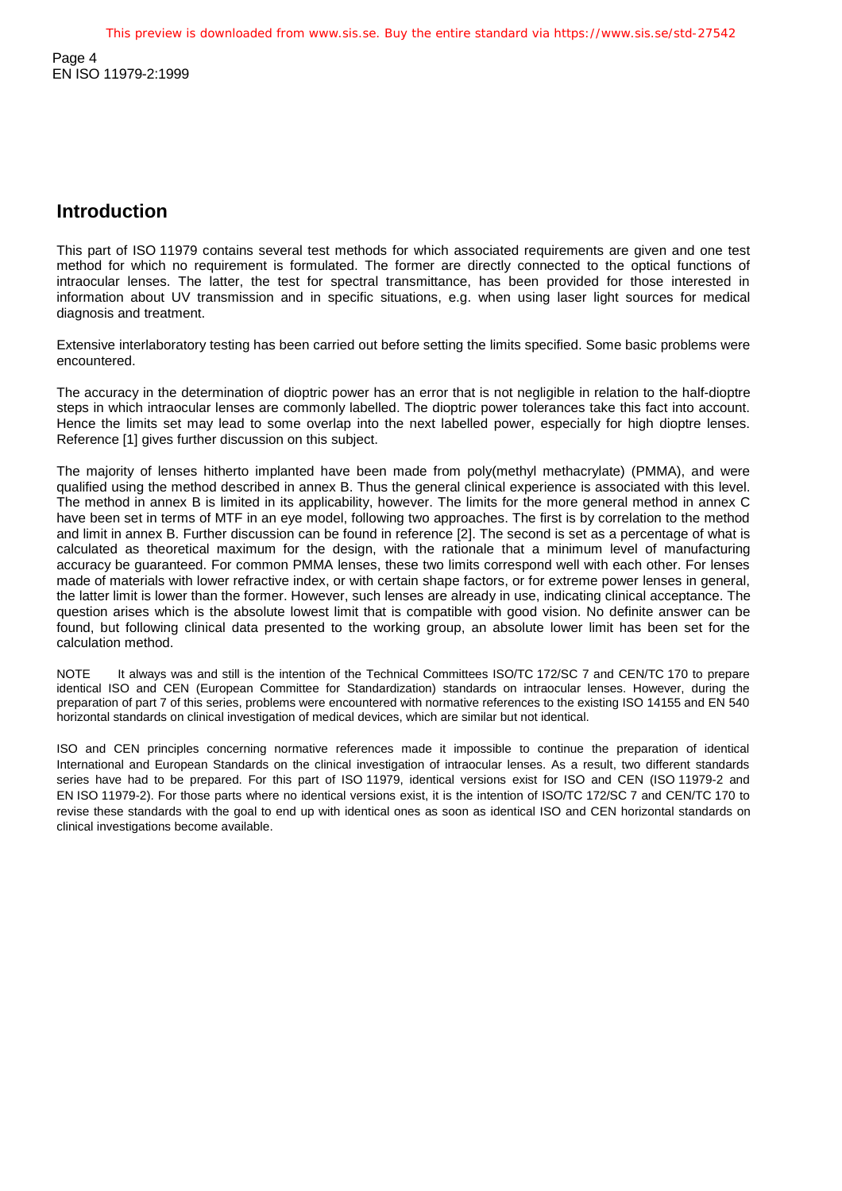Page 4 EN ISO 11979-2:1999

## **Introduction**

This part of ISO 11979 contains several test methods for which associated requirements are given and one test method for which no requirement is formulated. The former are directly connected to the optical functions of intraocular lenses. The latter, the test for spectral transmittance, has been provided for those interested in information about UV transmission and in specific situations, e.g. when using laser light sources for medical diagnosis and treatment.

Extensive interlaboratory testing has been carried out before setting the limits specified. Some basic problems were encountered.

The accuracy in the determination of dioptric power has an error that is not negligible in relation to the half-dioptre steps in which intraocular lenses are commonly labelled. The dioptric power tolerances take this fact into account. Hence the limits set may lead to some overlap into the next labelled power, especially for high dioptre lenses. Reference [1] gives further discussion on this subject.

The majority of lenses hitherto implanted have been made from poly(methyl methacrylate) (PMMA), and were qualified using the method described in annex B. Thus the general clinical experience is associated with this level. The method in annex B is limited in its applicability, however. The limits for the more general method in annex C have been set in terms of MTF in an eye model, following two approaches. The first is by correlation to the method and limit in annex B. Further discussion can be found in reference [2]. The second is set as a percentage of what is calculated as theoretical maximum for the design, with the rationale that a minimum level of manufacturing accuracy be guaranteed. For common PMMA lenses, these two limits correspond well with each other. For lenses made of materials with lower refractive index, or with certain shape factors, or for extreme power lenses in general, the latter limit is lower than the former. However, such lenses are already in use, indicating clinical acceptance. The question arises which is the absolute lowest limit that is compatible with good vision. No definite answer can be found, but following clinical data presented to the working group, an absolute lower limit has been set for the calculation method.

NOTE It always was and still is the intention of the Technical Committees ISO/TC 172/SC 7 and CEN/TC 170 to prepare identical ISO and CEN (European Committee for Standardization) standards on intraocular lenses. However, during the preparation of part 7 of this series, problems were encountered with normative references to the existing ISO 14155 and EN 540 horizontal standards on clinical investigation of medical devices, which are similar but not identical.

ISO and CEN principles concerning normative references made it impossible to continue the preparation of identical International and European Standards on the clinical investigation of intraocular lenses. As a result, two different standards series have had to be prepared. For this part of ISO 11979, identical versions exist for ISO and CEN (ISO 11979-2 and EN ISO 11979-2). For those parts where no identical versions exist, it is the intention of ISO/TC 172/SC 7 and CEN/TC 170 to revise these standards with the goal to end up with identical ones as soon as identical ISO and CEN horizontal standards on clinical investigations become available.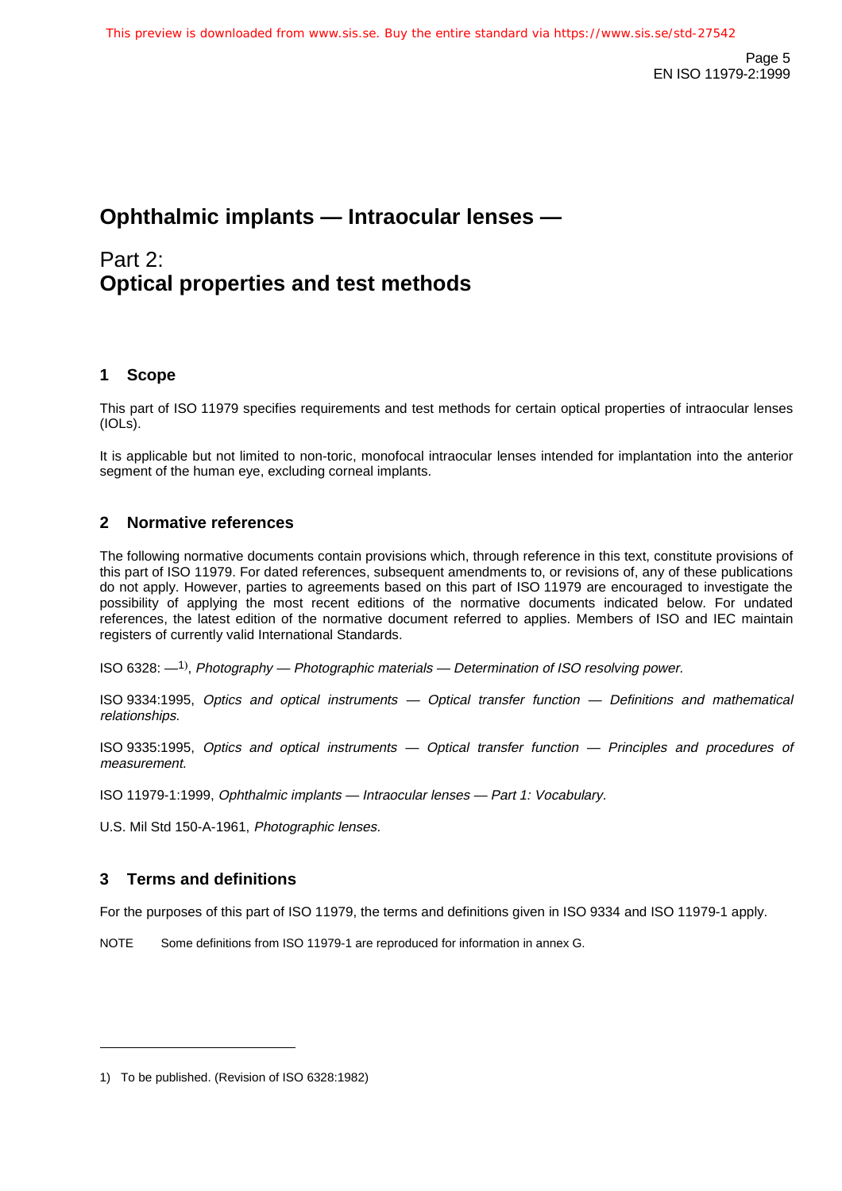Page 5 EN ISO 11979-2:1999

# **Ophthalmic implants — Intraocular lenses —**

# Part 2: **Optical properties and test methods**

#### **1 Scope**

This part of ISO 11979 specifies requirements and test methods for certain optical properties of intraocular lenses (IOLs).

It is applicable but not limited to non-toric, monofocal intraocular lenses intended for implantation into the anterior segment of the human eye, excluding corneal implants.

#### **2 Normative references**

The following normative documents contain provisions which, through reference in this text, constitute provisions of this part of ISO 11979. For dated references, subsequent amendments to, or revisions of, any of these publications do not apply. However, parties to agreements based on this part of ISO 11979 are encouraged to investigate the possibility of applying the most recent editions of the normative documents indicated below. For undated references, the latest edition of the normative document referred to applies. Members of ISO and IEC maintain registers of currently valid International Standards.

ISO 6328:  $-$ <sup>1</sup>), Photography  $-$  Photographic materials  $-$  Determination of ISO resolving power.

ISO 9334:1995, Optics and optical instruments — Optical transfer function — Definitions and mathematical relationships.

ISO 9335:1995, Optics and optical instruments — Optical transfer function — Principles and procedures of measurement.

ISO 11979-1:1999, Ophthalmic implants — Intraocular lenses — Part 1: Vocabulary.

U.S. Mil Std 150-A-1961, Photographic lenses.

#### **3 Terms and definitions**

For the purposes of this part of ISO 11979, the terms and definitions given in ISO 9334 and ISO 11979-1 apply.

NOTE Some definitions from ISO 11979-1 are reproduced for information in annex G.

<sup>1)</sup> To be published. (Revision of ISO 6328:1982)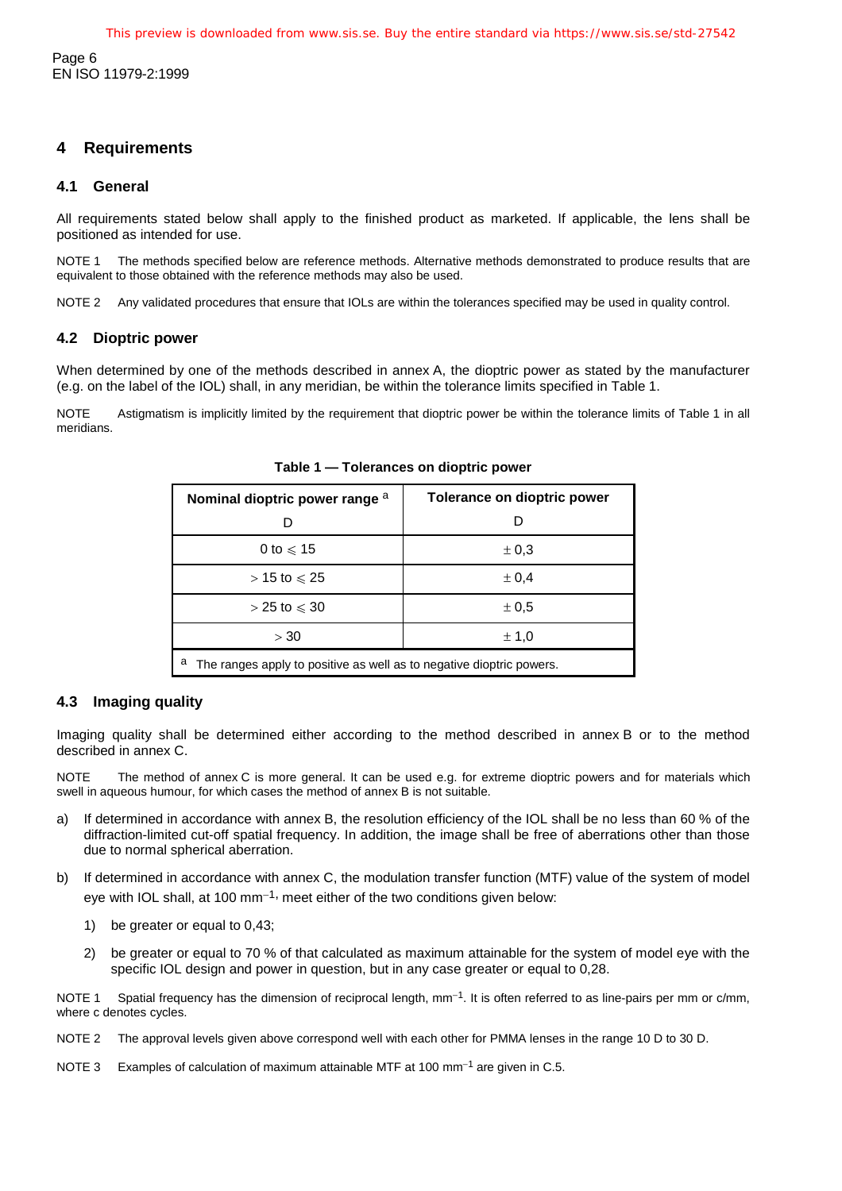Page 6 EN ISO 11979-2:1999

#### **4 Requirements**

#### **4.1 General**

All requirements stated below shall apply to the finished product as marketed. If applicable, the lens shall be positioned as intended for use.

NOTE 1 The methods specified below are reference methods. Alternative methods demonstrated to produce results that are equivalent to those obtained with the reference methods may also be used.

NOTE 2 Any validated procedures that ensure that IOLs are within the tolerances specified may be used in quality control.

#### **4.2 Dioptric power**

When determined by one of the methods described in annex A, the dioptric power as stated by the manufacturer (e.g. on the label of the IOL) shall, in any meridian, be within the tolerance limits specified in Table 1.

NOTE Astigmatism is implicitly limited by the requirement that dioptric power be within the tolerance limits of Table 1 in all meridians.

| Nominal dioptric power range a                                            | Tolerance on dioptric power |  |  |
|---------------------------------------------------------------------------|-----------------------------|--|--|
|                                                                           |                             |  |  |
| 0 to $\leqslant$ 15                                                       | ± 0.3                       |  |  |
| $>$ 15 to $\leqslant$ 25                                                  | ± 0.4                       |  |  |
| $>$ 25 to $\leqslant$ 30                                                  | ± 0.5                       |  |  |
| > 30                                                                      | ± 1.0                       |  |  |
| а<br>The ranges apply to positive as well as to negative dioptric powers. |                             |  |  |

**Table 1 — Tolerances on dioptric power**

#### **4.3 Imaging quality**

Imaging quality shall be determined either according to the method described in annex B or to the method described in annex C.

NOTE The method of annex C is more general. It can be used e.g. for extreme dioptric powers and for materials which swell in aqueous humour, for which cases the method of annex B is not suitable.

- a) If determined in accordance with annex B, the resolution efficiency of the IOL shall be no less than 60 % of the diffraction-limited cut-off spatial frequency. In addition, the image shall be free of aberrations other than those due to normal spherical aberration.
- b) If determined in accordance with annex C, the modulation transfer function (MTF) value of the system of model eye with IOL shall, at 100  $\text{mm}^{-1}$ , meet either of the two conditions given below:
	- 1) be greater or equal to 0,43;
	- 2) be greater or equal to 70 % of that calculated as maximum attainable for the system of model eye with the specific IOL design and power in question, but in any case greater or equal to 0,28.

NOTE 1 Spatial frequency has the dimension of reciprocal length, mm<sup>-1</sup>. It is often referred to as line-pairs per mm or c/mm, where c denotes cycles.

- NOTE 2 The approval levels given above correspond well with each other for PMMA lenses in the range 10 D to 30 D.
- NOTE 3 Examples of calculation of maximum attainable MTF at 100 mm<sup>-1</sup> are given in C.5.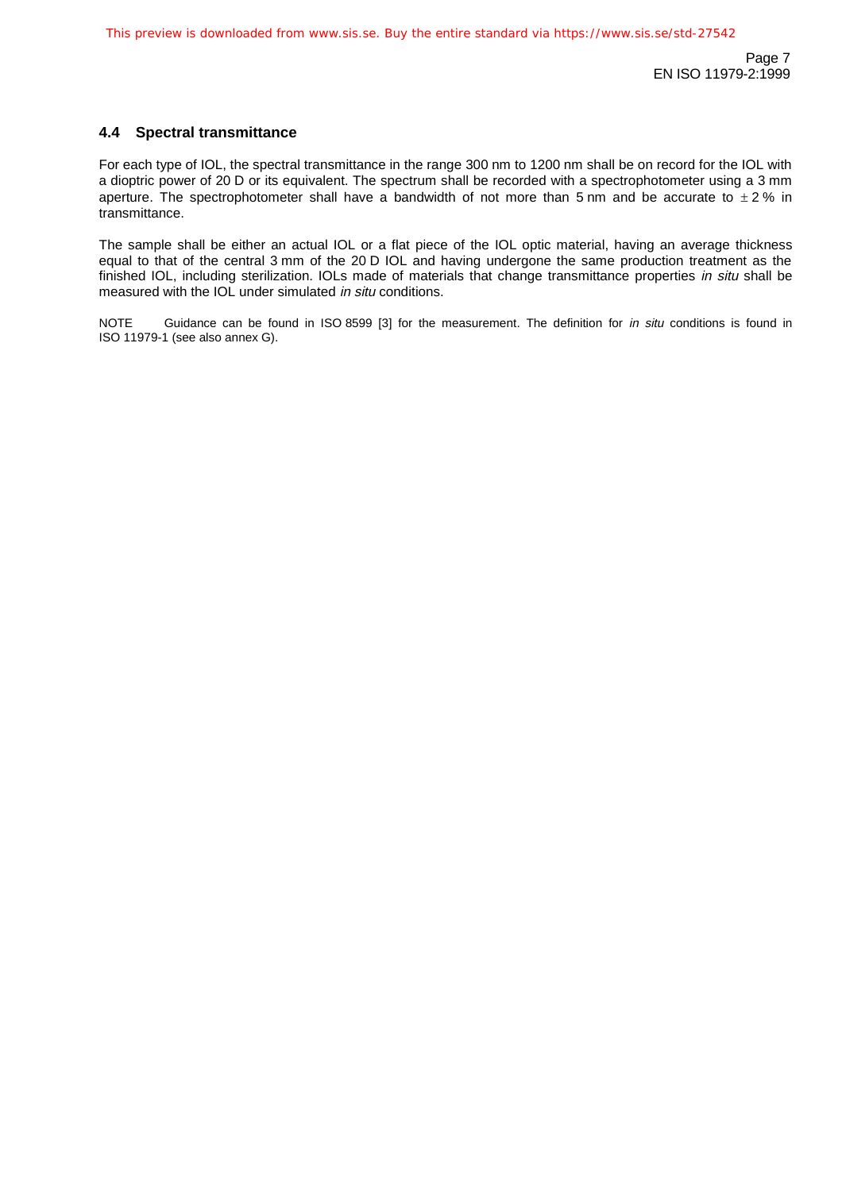Page 7 EN ISO 11979-2:1999

#### **4.4 Spectral transmittance**

For each type of IOL, the spectral transmittance in the range 300 nm to 1200 nm shall be on record for the IOL with a dioptric power of 20 D or its equivalent. The spectrum shall be recorded with a spectrophotometer using a 3 mm aperture. The spectrophotometer shall have a bandwidth of not more than 5 nm and be accurate to  $\pm 2$ % in transmittance.

The sample shall be either an actual IOL or a flat piece of the IOL optic material, having an average thickness equal to that of the central 3 mm of the 20 D IOL and having undergone the same production treatment as the finished IOL, including sterilization. IOLs made of materials that change transmittance properties in situ shall be measured with the IOL under simulated in situ conditions.

NOTE Guidance can be found in ISO 8599 [3] for the measurement. The definition for in situ conditions is found in ISO 11979-1 (see also annex G).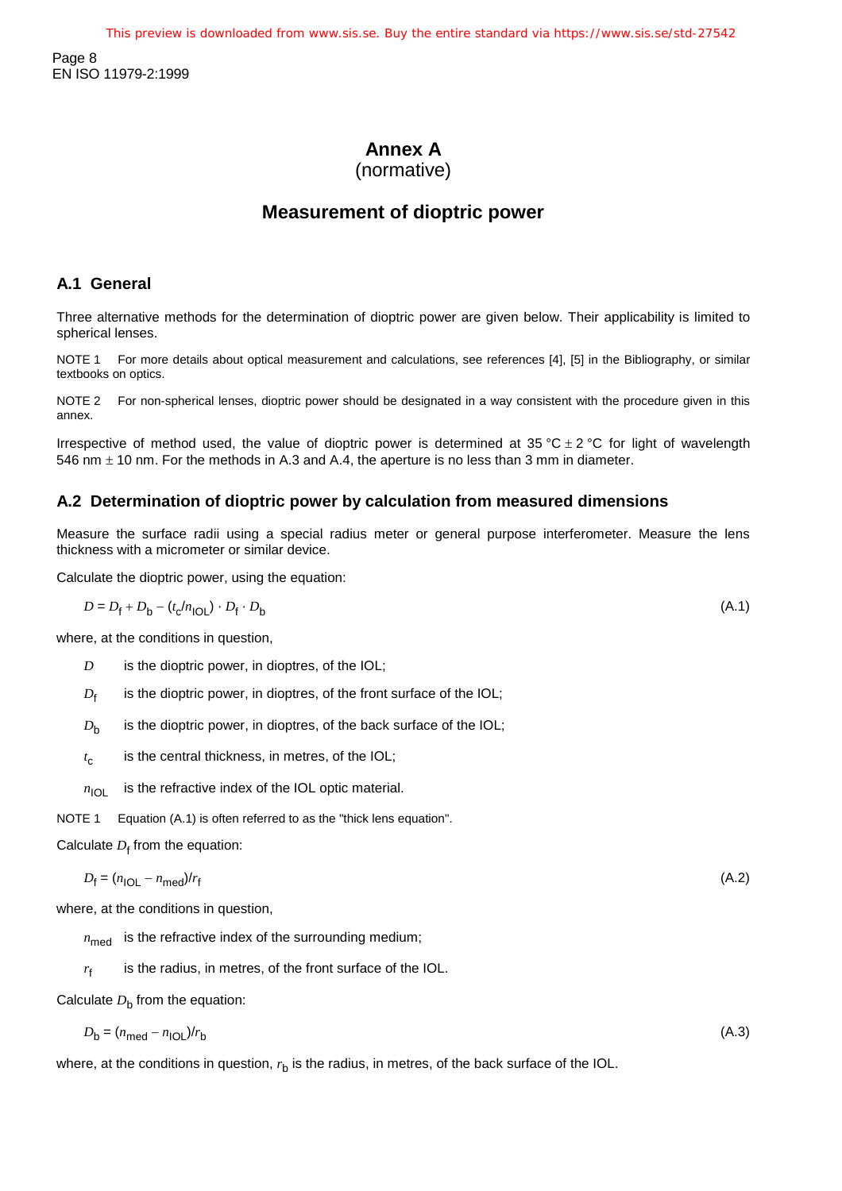Page 8 EN ISO 11979-2:1999

## **Annex A**

#### (normative)

### **Measurement of dioptric power**

#### **A.1 General**

Three alternative methods for the determination of dioptric power are given below. Their applicability is limited to spherical lenses.

NOTE 1 For more details about optical measurement and calculations, see references [4], [5] in the Bibliography, or similar textbooks on optics.

NOTE 2 For non-spherical lenses, dioptric power should be designated in a way consistent with the procedure given in this annex.

Irrespective of method used, the value of dioptric power is determined at 35 °C  $\pm$  2 °C for light of wavelength 546 nm  $\pm$  10 nm. For the methods in A.3 and A.4, the aperture is no less than 3 mm in diameter.

#### **A.2 Determination of dioptric power by calculation from measured dimensions**

Measure the surface radii using a special radius meter or general purpose interferometer. Measure the lens thickness with a micrometer or similar device.

Calculate the dioptric power, using the equation:

$$
D = D_{\mathfrak{f}} + D_{\mathfrak{b}} - (t_{\mathfrak{c}}/n_{\mathfrak{f}}) \cdot D_{\mathfrak{f}} \cdot D_{\mathfrak{b}} \tag{A.1}
$$

where, at the conditions in question,

- *D* is the dioptric power, in dioptres, of the IOL;
- $D_f$  is the dioptric power, in dioptres, of the front surface of the IOL;
- $D_{\rm b}$  is the dioptric power, in dioptres, of the back surface of the IOL;
- $t_c$ is the central thickness, in metres, of the IOL;
- $n_{\text{IO}}$  is the refractive index of the IOL optic material.

NOTE 1 Equation (A.1) is often referred to as the "thick lens equation".

Calculate  $D_f$  from the equation:

$$
D_{\mathsf{f}} = (n_{\mathsf{IOL}} - n_{\mathsf{med}})/r_{\mathsf{f}} \tag{A.2}
$$

where, at the conditions in question,

 $n_{\text{med}}$  is the refractive index of the surrounding medium;

 $r<sub>f</sub>$  is the radius, in metres, of the front surface of the IOL.

Calculate  $D<sub>b</sub>$  from the equation:

$$
D_{\mathbf{b}} = (n_{\text{med}} - n_{\text{IOL}})/r_{\mathbf{b}} \tag{A.3}
$$

where, at the conditions in question,  $r<sub>b</sub>$  is the radius, in metres, of the back surface of the IOL.